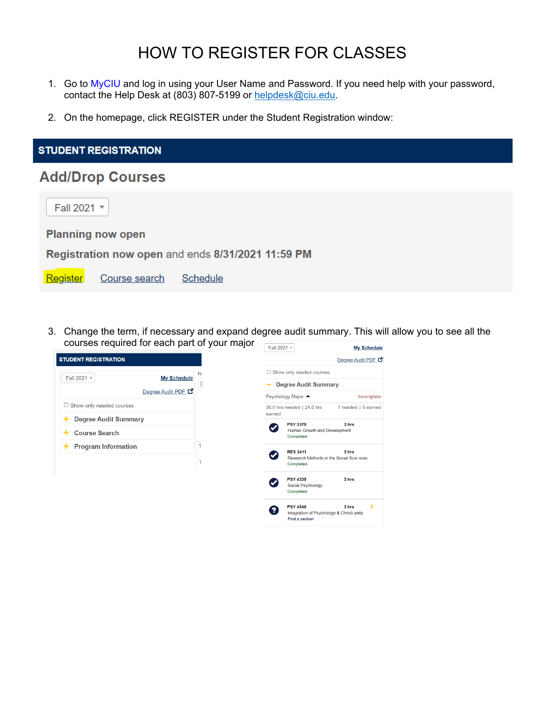## HOW TO REGISTER FOR CLASSES

- 1. Go to MyCIU and log in using your User Name and Password. If you need help with your password, contact the Help Desk at (803) 807-5199 or helpdesk@ciu.edu.
- 2. On the homepage, click REGISTER under the Student Registration window:

| <b>STUDENT REGISTRATION</b>                       |  |  |  |  |  |  |  |  |
|---------------------------------------------------|--|--|--|--|--|--|--|--|
| <b>Add/Drop Courses</b>                           |  |  |  |  |  |  |  |  |
| Fall 2021 v                                       |  |  |  |  |  |  |  |  |
| <b>Planning now open</b>                          |  |  |  |  |  |  |  |  |
| Registration now open and ends 8/31/2021 11:59 PM |  |  |  |  |  |  |  |  |
| Schedule<br>Register<br>Course search             |  |  |  |  |  |  |  |  |
|                                                   |  |  |  |  |  |  |  |  |

3. Change the term, if necessary and expand degree audit summary. This will allow you to see all the courses required for each part of your major Fall 2021 -My Schedule

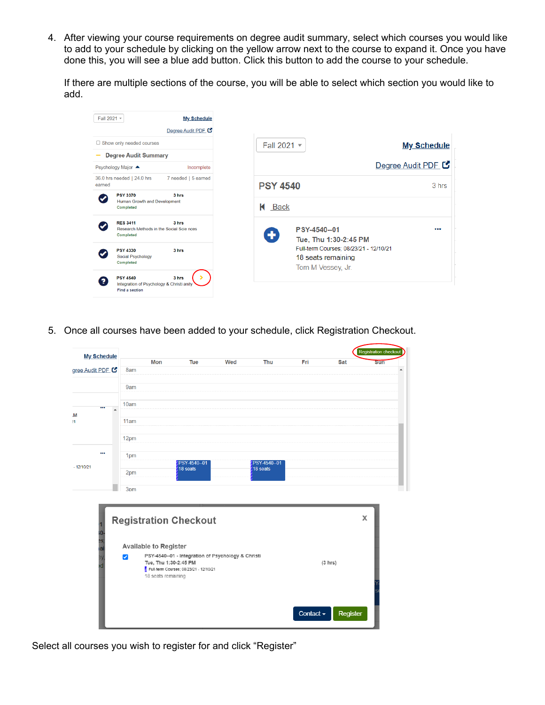4. After viewing your course requirements on degree audit summary, select which courses you would like to add to your schedule by clicking on the yellow arrow next to the course to expand it. Once you have done this, you will see a blue add button. Click this button to add the course to your schedule.

If there are multiple sections of the course, you will be able to select which section you would like to add.

| Fall 2021 -                     |                                                                                       | <b>My Schedule</b>  |                                                                                   |                    |
|---------------------------------|---------------------------------------------------------------------------------------|---------------------|-----------------------------------------------------------------------------------|--------------------|
|                                 |                                                                                       | Degree Audit PDF    |                                                                                   |                    |
| $\Box$ Show only needed courses |                                                                                       |                     | Fall 2021 v                                                                       | <b>My Schedule</b> |
|                                 | <b>Degree Audit Summary</b>                                                           |                     |                                                                                   |                    |
|                                 | Psychology Major ▲                                                                    | Incomplete          |                                                                                   | Degree Audit PDF   |
| earned                          | 36.0 hrs needed   24.0 hrs                                                            | 7 needed   5 earned | <b>PSY 4540</b>                                                                   | 3 hrs              |
|                                 | <b>PSY 3370</b><br>Human Growth and Development<br>Completed                          | 3 hrs               | К<br>Back                                                                         |                    |
|                                 | <b>RES 3411</b><br>Research Methods in the Social Scie nces<br>Completed              | 3 hrs               | PSY-4540--01<br>۰<br>Tue, Thu 1:30-2:45 PM                                        |                    |
|                                 | <b>PSY 4330</b><br><b>Social Psychology</b><br>Completed                              | 3 hrs               | Full-term Courses; 08/23/21 - 12/10/21<br>18 seats remaining<br>Tom M Vessey, Jr. |                    |
| 2                               | <b>PSY 4540</b><br>Integration of Psychology & Christi anity<br><b>Find a section</b> | 3 hrs<br>৲          |                                                                                   |                    |

5. Once all courses have been added to your schedule, click Registration Checkout.



Select all courses you wish to register for and click "Register"